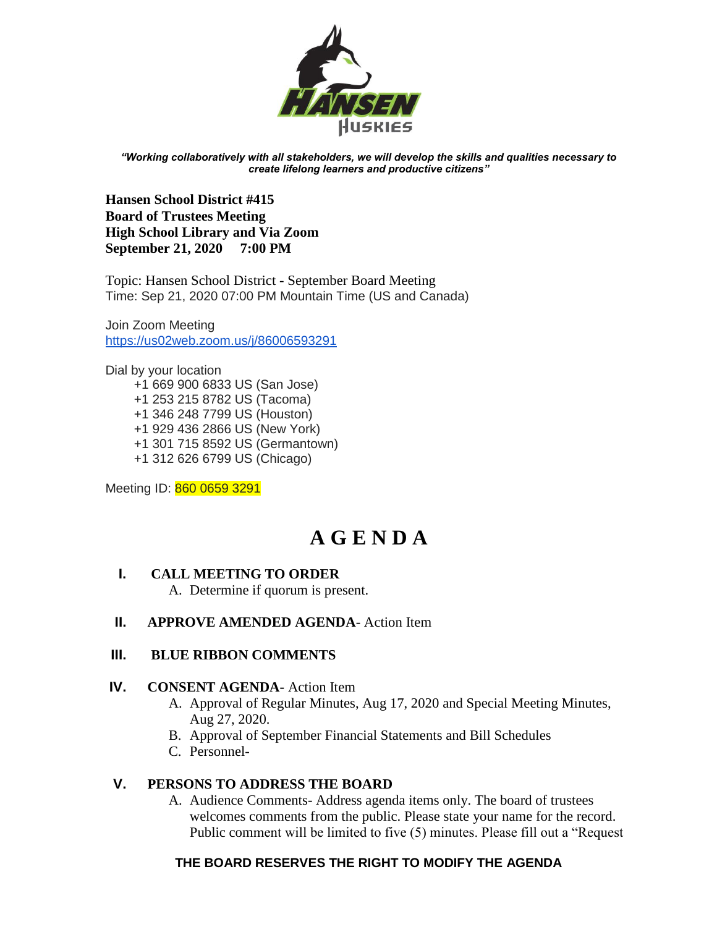

*"Working collaboratively with all stakeholders, we will develop the skills and qualities necessary to create lifelong learners and productive citizens"*

**Hansen School District #415 Board of Trustees Meeting High School Library and Via Zoom September 21, 2020 7:00 PM** 

Topic: Hansen School District - September Board Meeting Time: Sep 21, 2020 07:00 PM Mountain Time (US and Canada)

Join Zoom Meeting <https://us02web.zoom.us/j/86006593291>

Dial by your location +1 669 900 6833 US (San Jose) +1 253 215 8782 US (Tacoma) +1 346 248 7799 US (Houston) +1 929 436 2866 US (New York) +1 301 715 8592 US (Germantown) +1 312 626 6799 US (Chicago)

Meeting ID: 860 0659 3291

# **A G E N D A**

### **I. CALL MEETING TO ORDER**

A. Determine if quorum is present.

### **II. APPROVE AMENDED AGENDA**- Action Item

### **III. BLUE RIBBON COMMENTS**

#### **IV. CONSENT AGENDA-** Action Item

- A. Approval of Regular Minutes, Aug 17, 2020 and Special Meeting Minutes, Aug 27, 2020.
- B. Approval of September Financial Statements and Bill Schedules
- C. Personnel-

### **V. PERSONS TO ADDRESS THE BOARD**

A. Audience Comments- Address agenda items only. The board of trustees welcomes comments from the public. Please state your name for the record. Public comment will be limited to five (5) minutes. Please fill out a "Request

## **THE BOARD RESERVES THE RIGHT TO MODIFY THE AGENDA**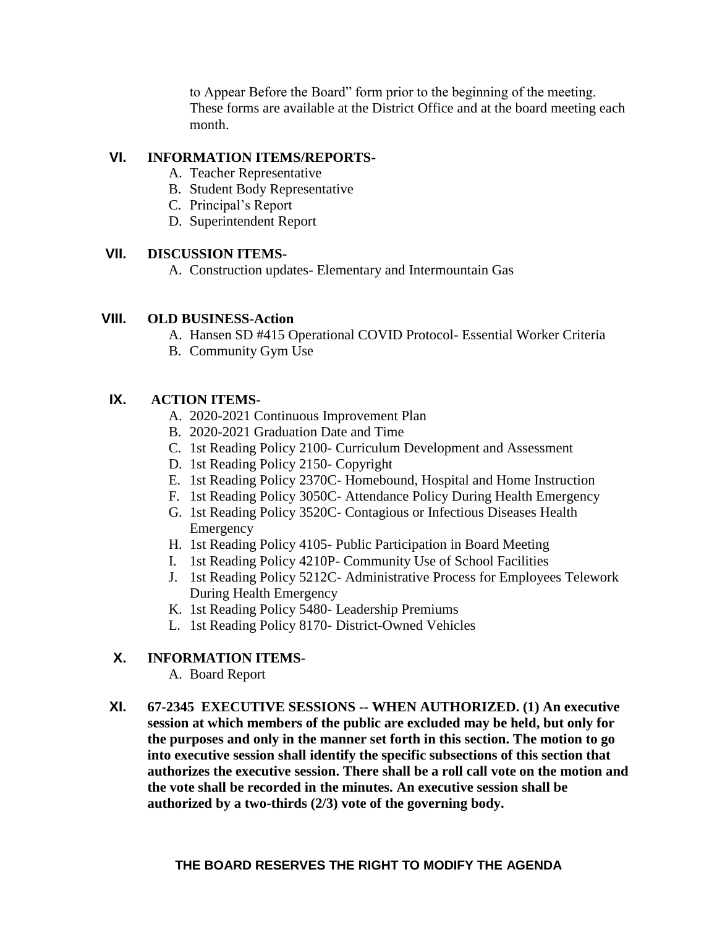to Appear Before the Board" form prior to the beginning of the meeting. These forms are available at the District Office and at the board meeting each month.

## **VI. INFORMATION ITEMS/REPORTS-**

- A. Teacher Representative
- B. Student Body Representative
- C. Principal's Report
- D. Superintendent Report

## **VII. DISCUSSION ITEMS-**

A. Construction updates- Elementary and Intermountain Gas

## **VIII. OLD BUSINESS-Action**

- A. Hansen SD #415 Operational COVID Protocol- Essential Worker Criteria
- B. Community Gym Use

# **IX. ACTION ITEMS-**

- A. 2020-2021 Continuous Improvement Plan
- B. 2020-2021 Graduation Date and Time
- C. 1st Reading Policy 2100- Curriculum Development and Assessment
- D. 1st Reading Policy 2150- Copyright
- E. 1st Reading Policy 2370C- Homebound, Hospital and Home Instruction
- F. 1st Reading Policy 3050C- Attendance Policy During Health Emergency
- G. 1st Reading Policy 3520C- Contagious or Infectious Diseases Health Emergency
- H. 1st Reading Policy 4105- Public Participation in Board Meeting
- I. 1st Reading Policy 4210P- Community Use of School Facilities
- J. 1st Reading Policy 5212C- Administrative Process for Employees Telework During Health Emergency
- K. 1st Reading Policy 5480- Leadership Premiums
- L. 1st Reading Policy 8170- District-Owned Vehicles

# **X. INFORMATION ITEMS-**

- A. Board Report
- **XI. 67-2345 EXECUTIVE SESSIONS -- WHEN AUTHORIZED. (1) An executive session at which members of the public are excluded may be held, but only for the purposes and only in the manner set forth in this section. The motion to go into executive session shall identify the specific subsections of this section that authorizes the executive session. There shall be a roll call vote on the motion and the vote shall be recorded in the minutes. An executive session shall be authorized by a two-thirds (2/3) vote of the governing body.**